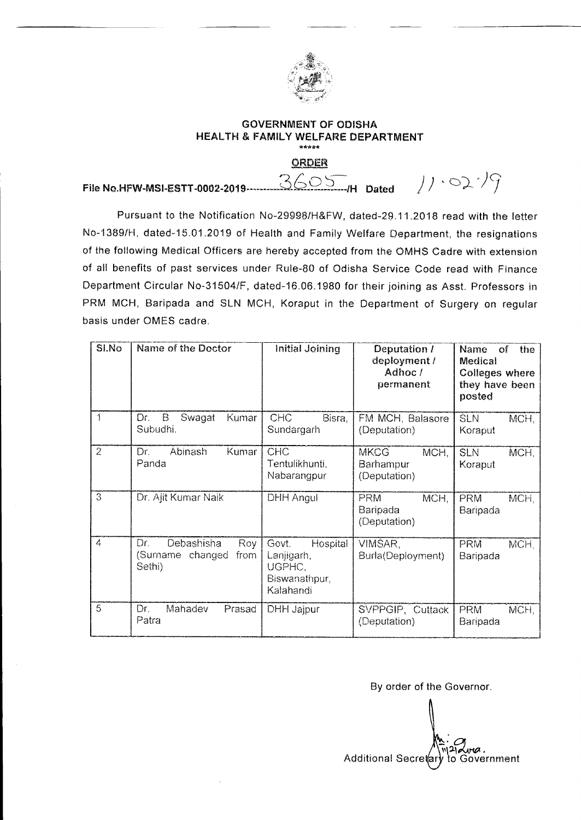

## **GOVERNMENT OF ODISHA HEALTH & FAMILY WELFARE DEPARTMENT**  \*\*\*\*\*

**ORDER** 

File No.HFW-MSI-ESTT-0002-2019 **3605** H Dated  $\left/ \right/ \cdot 02.7\right)$ 

Pursuant to the Notification No-29998/H&FW, dated-29.11.2018 read with the letter No-1389/H, dated-15.01.2019 of Health and Family Welfare Department, the resignations of the following Medical Officers are hereby accepted from the OMHS Cadre with extension of all benefits of past services under Rule-80 of Odisha Service Code read with Finance Department Circular No-31504/F, dated-16.06.1980 for their joining as Asst. Professors in PRM MCH, Baripada and SLN MCH, Koraput in the Department of Surgery on regular basis under OMES cadre.

| SI.No          | Name of the Doctor                                             | <b>Initial Joining</b>                                                  | Deputation /<br>deployment /<br>Adhoc /<br>permanent | <b>Name</b><br>of -<br>the.<br>Medical<br><b>Colleges where</b><br>they have been<br>posted |
|----------------|----------------------------------------------------------------|-------------------------------------------------------------------------|------------------------------------------------------|---------------------------------------------------------------------------------------------|
| 1              | B<br>Dr.<br>Swagat<br>Kumar<br>Subudhi.                        | <b>CHC</b><br>Bisra,<br>Sundargarh                                      | FM MCH, Balasore<br>(Deputation)                     | <b>SLN</b><br>MCH,<br>Koraput                                                               |
| $\overline{2}$ | Abinash<br>Kumar<br>Dr.<br>Panda                               | <b>CHC</b><br>Tentulikhunti,<br>Nabarangpur                             | <b>MKCG</b><br>MCH.<br>Barhampur<br>(Deputation)     | <b>SLN</b><br>MCH,<br>Koraput                                                               |
| $\overline{3}$ | Dr. Ajit Kumar Naik                                            | DHH Angul                                                               | MCH.<br><b>PRM</b><br>Baripada<br>(Deputation)       | PRM<br>MCH,<br>Baripada                                                                     |
| 4              | Debashisha<br>Dr.<br>Roy<br>(Surname changed<br>from<br>Sethi) | Govt.<br>Hospital<br>Lanjigarh,<br>UGPHC,<br>Biswanathpur,<br>Kalahandi | VIMSAR,<br>Burla(Deployment)                         | <b>PRM</b><br>MCH,<br>Baripada                                                              |
| $\overline{5}$ | Mahadev<br>Dr.<br>Prasad<br>Patra                              | <b>DHH Jajpur</b>                                                       | SVPPGIP, Cuttack<br>(Deputation)                     | PRM<br>MCH,<br>Baripada                                                                     |

By order of the Governor.

 $M \rightarrow 0$ Additional Secretary to Government